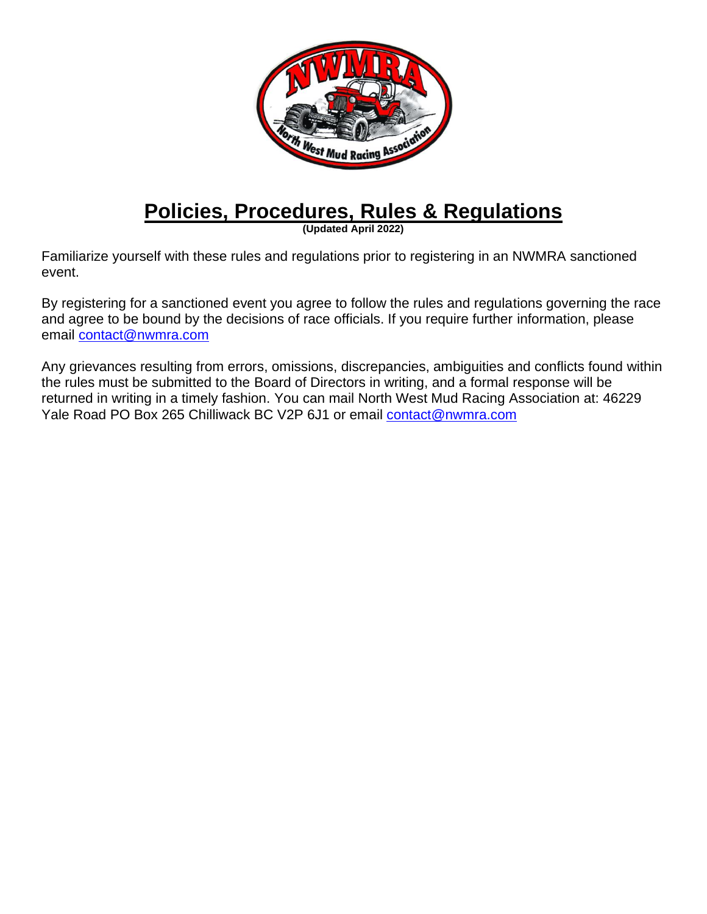

## **Policies, Procedures, Rules & Regulations**

**(Updated April 2022)**

Familiarize yourself with these rules and regulations prior to registering in an NWMRA sanctioned event.

By registering for a sanctioned event you agree to follow the rules and regulations governing the race and agree to be bound by the decisions of race officials. If you require further information, please email [contact@nwmra.com](mailto:brians@nwmra.com)

Any grievances resulting from errors, omissions, discrepancies, ambiguities and conflicts found within the rules must be submitted to the Board of Directors in writing, and a formal response will be returned in writing in a timely fashion. You can mail North West Mud Racing Association at: 46229 Yale Road PO Box 265 Chilliwack BC V2P 6J1 or email [contact@nwmra.com](mailto:contact@nwmra.com)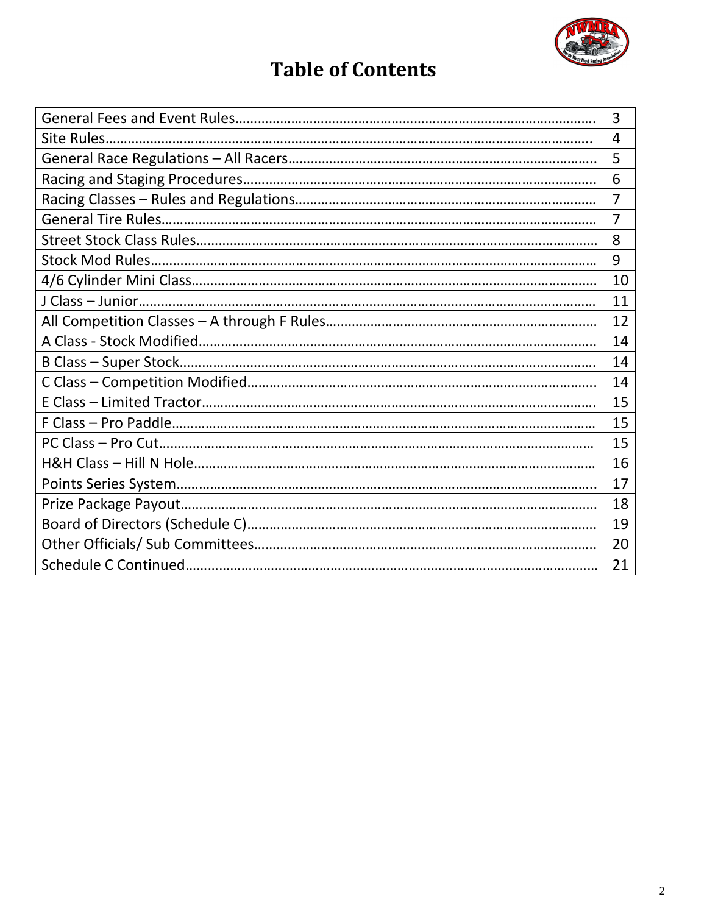

## **Table of Contents**

|  | 3              |  |  |  |  |
|--|----------------|--|--|--|--|
|  | $\overline{4}$ |  |  |  |  |
|  |                |  |  |  |  |
|  |                |  |  |  |  |
|  | 7              |  |  |  |  |
|  | $\overline{7}$ |  |  |  |  |
|  | 8              |  |  |  |  |
|  | 9              |  |  |  |  |
|  | 10             |  |  |  |  |
|  | 11             |  |  |  |  |
|  | 12             |  |  |  |  |
|  | 14             |  |  |  |  |
|  | 14             |  |  |  |  |
|  | 14             |  |  |  |  |
|  | 15             |  |  |  |  |
|  | 15             |  |  |  |  |
|  | 15             |  |  |  |  |
|  | 16             |  |  |  |  |
|  | 17             |  |  |  |  |
|  | 18             |  |  |  |  |
|  | 19             |  |  |  |  |
|  | 20             |  |  |  |  |
|  | 21             |  |  |  |  |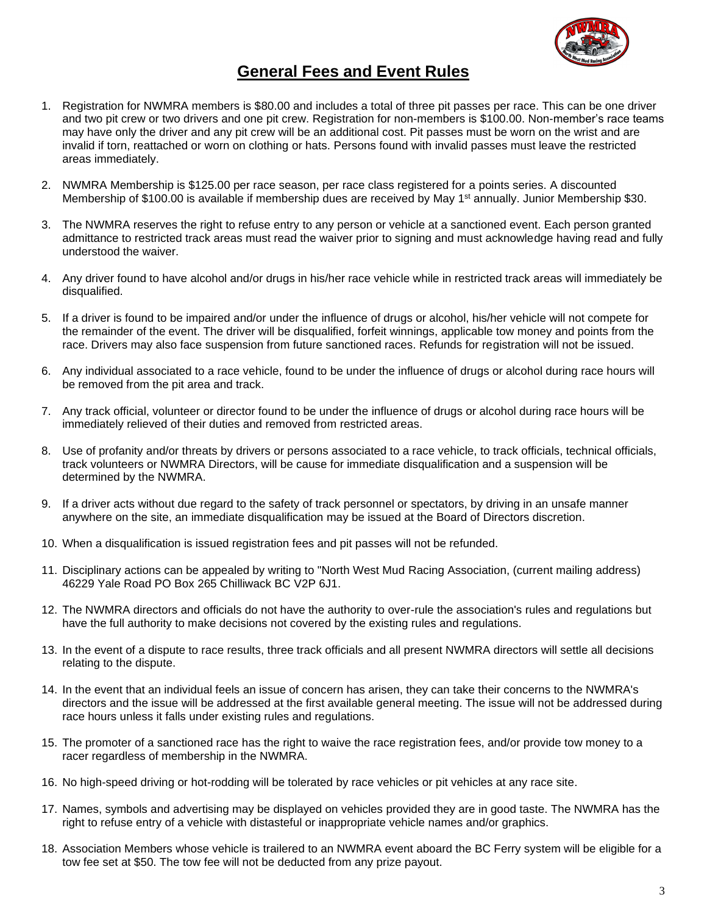

## **General Fees and Event Rules**

- 1. Registration for NWMRA members is \$80.00 and includes a total of three pit passes per race. This can be one driver and two pit crew or two drivers and one pit crew. Registration for non-members is \$100.00. Non-member's race teams may have only the driver and any pit crew will be an additional cost. Pit passes must be worn on the wrist and are invalid if torn, reattached or worn on clothing or hats. Persons found with invalid passes must leave the restricted areas immediately.
- 2. NWMRA Membership is \$125.00 per race season, per race class registered for a points series. A discounted Membership of \$100.00 is available if membership dues are received by May 1<sup>st</sup> annually. Junior Membership \$30.
- 3. The NWMRA reserves the right to refuse entry to any person or vehicle at a sanctioned event. Each person granted admittance to restricted track areas must read the waiver prior to signing and must acknowledge having read and fully understood the waiver.
- 4. Any driver found to have alcohol and/or drugs in his/her race vehicle while in restricted track areas will immediately be disqualified.
- 5. If a driver is found to be impaired and/or under the influence of drugs or alcohol, his/her vehicle will not compete for the remainder of the event. The driver will be disqualified, forfeit winnings, applicable tow money and points from the race. Drivers may also face suspension from future sanctioned races. Refunds for registration will not be issued.
- 6. Any individual associated to a race vehicle, found to be under the influence of drugs or alcohol during race hours will be removed from the pit area and track.
- 7. Any track official, volunteer or director found to be under the influence of drugs or alcohol during race hours will be immediately relieved of their duties and removed from restricted areas.
- 8. Use of profanity and/or threats by drivers or persons associated to a race vehicle, to track officials, technical officials, track volunteers or NWMRA Directors, will be cause for immediate disqualification and a suspension will be determined by the NWMRA.
- 9. If a driver acts without due regard to the safety of track personnel or spectators, by driving in an unsafe manner anywhere on the site, an immediate disqualification may be issued at the Board of Directors discretion.
- 10. When a disqualification is issued registration fees and pit passes will not be refunded.
- 11. Disciplinary actions can be appealed by writing to "North West Mud Racing Association, (current mailing address) 46229 Yale Road PO Box 265 Chilliwack BC V2P 6J1.
- 12. The NWMRA directors and officials do not have the authority to over-rule the association's rules and regulations but have the full authority to make decisions not covered by the existing rules and regulations.
- 13. In the event of a dispute to race results, three track officials and all present NWMRA directors will settle all decisions relating to the dispute.
- 14. In the event that an individual feels an issue of concern has arisen, they can take their concerns to the NWMRA's directors and the issue will be addressed at the first available general meeting. The issue will not be addressed during race hours unless it falls under existing rules and regulations.
- 15. The promoter of a sanctioned race has the right to waive the race registration fees, and/or provide tow money to a racer regardless of membership in the NWMRA.
- 16. No high-speed driving or hot-rodding will be tolerated by race vehicles or pit vehicles at any race site.
- 17. Names, symbols and advertising may be displayed on vehicles provided they are in good taste. The NWMRA has the right to refuse entry of a vehicle with distasteful or inappropriate vehicle names and/or graphics.
- 18. Association Members whose vehicle is trailered to an NWMRA event aboard the BC Ferry system will be eligible for a tow fee set at \$50. The tow fee will not be deducted from any prize payout.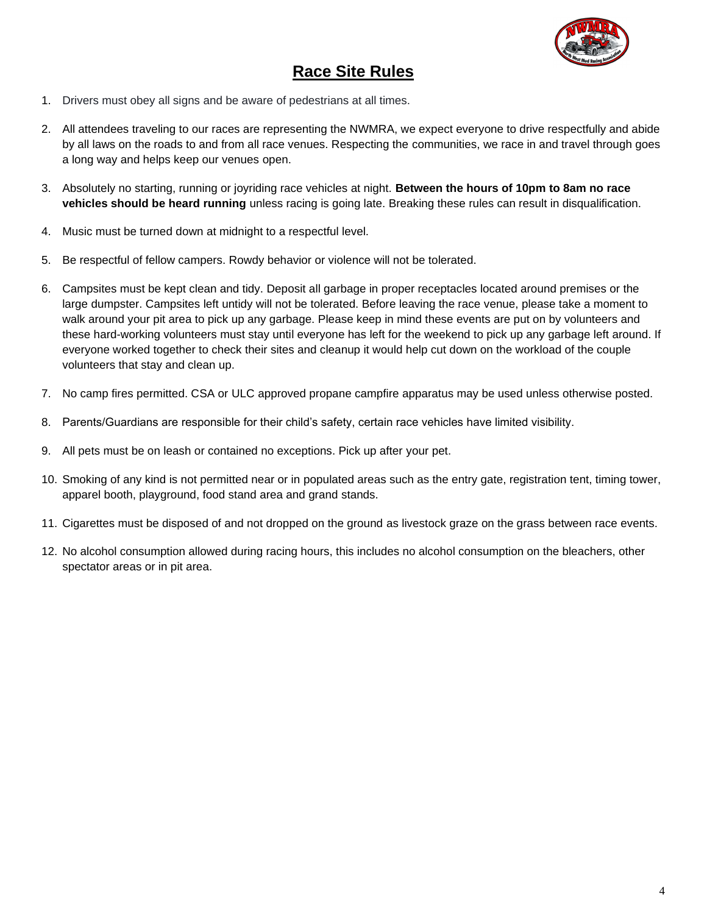

## **Race Site Rules**

- 1. Drivers must obey all signs and be aware of pedestrians at all times.
- 2. All attendees traveling to our races are representing the NWMRA, we expect everyone to drive respectfully and abide by all laws on the roads to and from all race venues. Respecting the communities, we race in and travel through goes a long way and helps keep our venues open.
- 3. Absolutely no starting, running or joyriding race vehicles at night. **Between the hours of 10pm to 8am no race vehicles should be heard running** unless racing is going late. Breaking these rules can result in disqualification.
- 4. Music must be turned down at midnight to a respectful level.
- 5. Be respectful of fellow campers. Rowdy behavior or violence will not be tolerated.
- 6. Campsites must be kept clean and tidy. Deposit all garbage in proper receptacles located around premises or the large dumpster. Campsites left untidy will not be tolerated. Before leaving the race venue, please take a moment to walk around your pit area to pick up any garbage. Please keep in mind these events are put on by volunteers and these hard-working volunteers must stay until everyone has left for the weekend to pick up any garbage left around. If everyone worked together to check their sites and cleanup it would help cut down on the workload of the couple volunteers that stay and clean up.
- 7. No camp fires permitted. CSA or ULC approved propane campfire apparatus may be used unless otherwise posted.
- 8. Parents/Guardians are responsible for their child's safety, certain race vehicles have limited visibility.
- 9. All pets must be on leash or contained no exceptions. Pick up after your pet.
- 10. Smoking of any kind is not permitted near or in populated areas such as the entry gate, registration tent, timing tower, apparel booth, playground, food stand area and grand stands.
- 11. Cigarettes must be disposed of and not dropped on the ground as livestock graze on the grass between race events.
- 12. No alcohol consumption allowed during racing hours, this includes no alcohol consumption on the bleachers, other spectator areas or in pit area.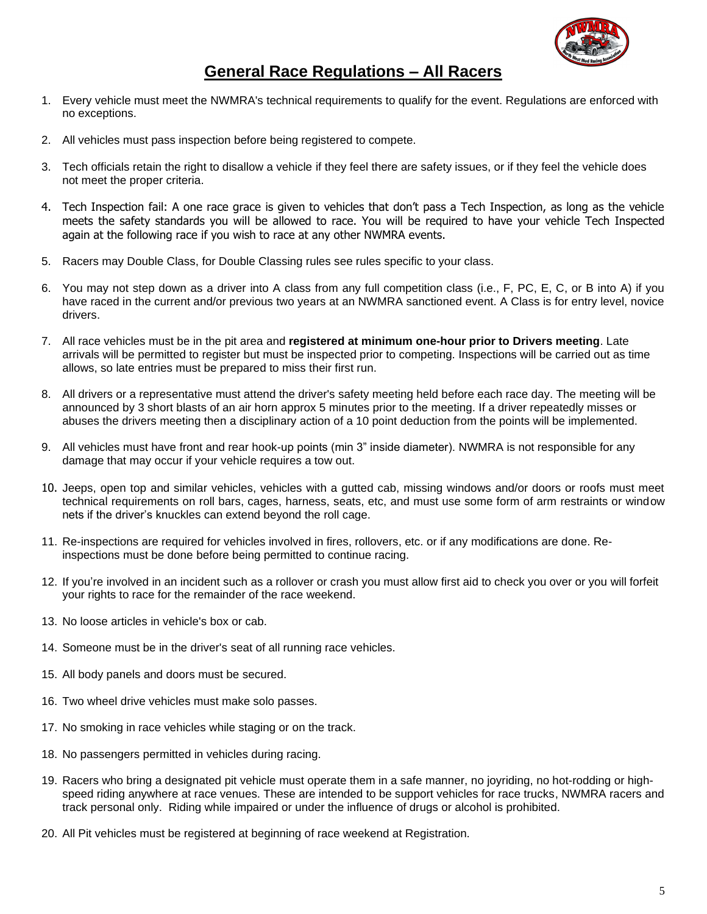

## **General Race Regulations – All Racers**

- 1. Every vehicle must meet the NWMRA's technical requirements to qualify for the event. Regulations are enforced with no exceptions.
- 2. All vehicles must pass inspection before being registered to compete.
- 3. Tech officials retain the right to disallow a vehicle if they feel there are safety issues, or if they feel the vehicle does not meet the proper criteria.
- 4. Tech Inspection fail: A one race grace is given to vehicles that don't pass a Tech Inspection, as long as the vehicle meets the safety standards you will be allowed to race. You will be required to have your vehicle Tech Inspected again at the following race if you wish to race at any other NWMRA events.
- 5. Racers may Double Class, for Double Classing rules see rules specific to your class.
- 6. You may not step down as a driver into A class from any full competition class (i.e., F, PC, E, C, or B into A) if you have raced in the current and/or previous two years at an NWMRA sanctioned event. A Class is for entry level, novice drivers.
- 7. All race vehicles must be in the pit area and **registered at minimum one-hour prior to Drivers meeting**. Late arrivals will be permitted to register but must be inspected prior to competing. Inspections will be carried out as time allows, so late entries must be prepared to miss their first run.
- 8. All drivers or a representative must attend the driver's safety meeting held before each race day. The meeting will be announced by 3 short blasts of an air horn approx 5 minutes prior to the meeting. If a driver repeatedly misses or abuses the drivers meeting then a disciplinary action of a 10 point deduction from the points will be implemented.
- 9. All vehicles must have front and rear hook-up points (min 3" inside diameter). NWMRA is not responsible for any damage that may occur if your vehicle requires a tow out.
- 10. Jeeps, open top and similar vehicles, vehicles with a gutted cab, missing windows and/or doors or roofs must meet technical requirements on roll bars, cages, harness, seats, etc, and must use some form of arm restraints or window nets if the driver's knuckles can extend beyond the roll cage.
- 11. Re-inspections are required for vehicles involved in fires, rollovers, etc. or if any modifications are done. Reinspections must be done before being permitted to continue racing.
- 12. If you're involved in an incident such as a rollover or crash you must allow first aid to check you over or you will forfeit your rights to race for the remainder of the race weekend.
- 13. No loose articles in vehicle's box or cab.
- 14. Someone must be in the driver's seat of all running race vehicles.
- 15. All body panels and doors must be secured.
- 16. Two wheel drive vehicles must make solo passes.
- 17. No smoking in race vehicles while staging or on the track.
- 18. No passengers permitted in vehicles during racing.
- 19. Racers who bring a designated pit vehicle must operate them in a safe manner, no joyriding, no hot-rodding or highspeed riding anywhere at race venues. These are intended to be support vehicles for race trucks, NWMRA racers and track personal only. Riding while impaired or under the influence of drugs or alcohol is prohibited.
- 20. All Pit vehicles must be registered at beginning of race weekend at Registration.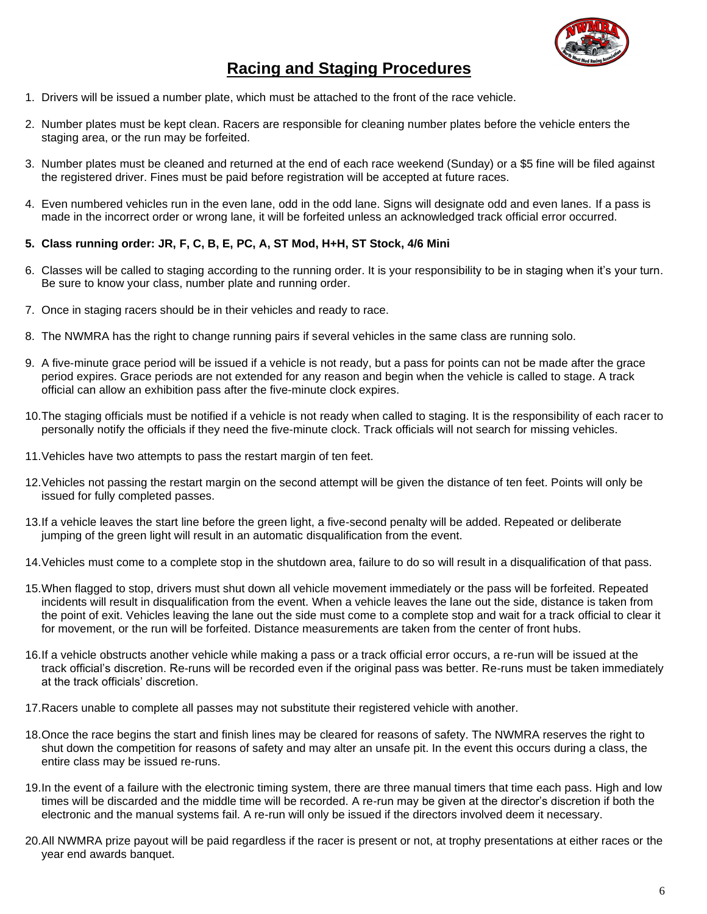

## **Racing and Staging Procedures**

- 1. Drivers will be issued a number plate, which must be attached to the front of the race vehicle.
- 2. Number plates must be kept clean. Racers are responsible for cleaning number plates before the vehicle enters the staging area, or the run may be forfeited.
- 3. Number plates must be cleaned and returned at the end of each race weekend (Sunday) or a \$5 fine will be filed against the registered driver. Fines must be paid before registration will be accepted at future races.
- 4. Even numbered vehicles run in the even lane, odd in the odd lane. Signs will designate odd and even lanes. If a pass is made in the incorrect order or wrong lane, it will be forfeited unless an acknowledged track official error occurred.

#### **5. Class running order: JR, F, C, B, E, PC, A, ST Mod, H+H, ST Stock, 4/6 Mini**

- 6. Classes will be called to staging according to the running order. It is your responsibility to be in staging when it's your turn. Be sure to know your class, number plate and running order.
- 7. Once in staging racers should be in their vehicles and ready to race.
- 8. The NWMRA has the right to change running pairs if several vehicles in the same class are running solo.
- 9. A five-minute grace period will be issued if a vehicle is not ready, but a pass for points can not be made after the grace period expires. Grace periods are not extended for any reason and begin when the vehicle is called to stage. A track official can allow an exhibition pass after the five-minute clock expires.
- 10.The staging officials must be notified if a vehicle is not ready when called to staging. It is the responsibility of each racer to personally notify the officials if they need the five-minute clock. Track officials will not search for missing vehicles.
- 11.Vehicles have two attempts to pass the restart margin of ten feet.
- 12.Vehicles not passing the restart margin on the second attempt will be given the distance of ten feet. Points will only be issued for fully completed passes.
- 13.If a vehicle leaves the start line before the green light, a five-second penalty will be added. Repeated or deliberate jumping of the green light will result in an automatic disqualification from the event.
- 14.Vehicles must come to a complete stop in the shutdown area, failure to do so will result in a disqualification of that pass.
- 15.When flagged to stop, drivers must shut down all vehicle movement immediately or the pass will be forfeited. Repeated incidents will result in disqualification from the event. When a vehicle leaves the lane out the side, distance is taken from the point of exit. Vehicles leaving the lane out the side must come to a complete stop and wait for a track official to clear it for movement, or the run will be forfeited. Distance measurements are taken from the center of front hubs.
- 16.If a vehicle obstructs another vehicle while making a pass or a track official error occurs, a re-run will be issued at the track official's discretion. Re-runs will be recorded even if the original pass was better. Re-runs must be taken immediately at the track officials' discretion.
- 17.Racers unable to complete all passes may not substitute their registered vehicle with another.
- 18.Once the race begins the start and finish lines may be cleared for reasons of safety. The NWMRA reserves the right to shut down the competition for reasons of safety and may alter an unsafe pit. In the event this occurs during a class, the entire class may be issued re-runs.
- 19.In the event of a failure with the electronic timing system, there are three manual timers that time each pass. High and low times will be discarded and the middle time will be recorded. A re-run may be given at the director's discretion if both the electronic and the manual systems fail. A re-run will only be issued if the directors involved deem it necessary.
- 20.All NWMRA prize payout will be paid regardless if the racer is present or not, at trophy presentations at either races or the year end awards banquet.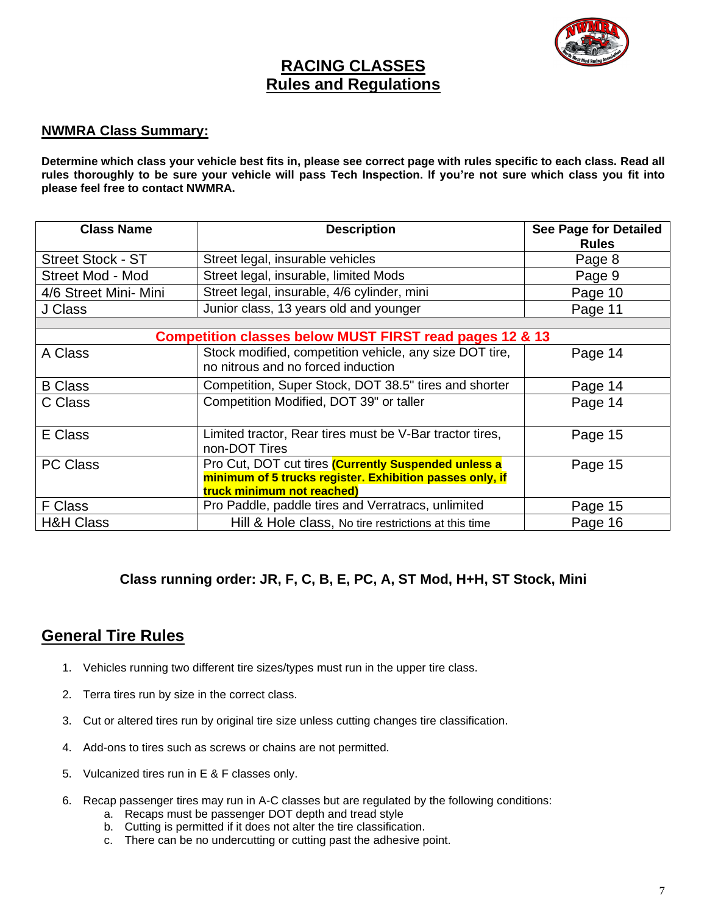

### **RACING CLASSES Rules and Regulations**

#### **NWMRA Class Summary:**

**Determine which class your vehicle best fits in, please see correct page with rules specific to each class. Read all rules thoroughly to be sure your vehicle will pass Tech Inspection. If you're not sure which class you fit into please feel free to contact NWMRA.**

| <b>Class Name</b>        | <b>Description</b>                                                                                                                             | <b>See Page for Detailed</b><br><b>Rules</b> |  |  |  |  |  |  |
|--------------------------|------------------------------------------------------------------------------------------------------------------------------------------------|----------------------------------------------|--|--|--|--|--|--|
| <b>Street Stock - ST</b> | Street legal, insurable vehicles                                                                                                               | Page 8                                       |  |  |  |  |  |  |
| Street Mod - Mod         | Street legal, insurable, limited Mods                                                                                                          | Page 9                                       |  |  |  |  |  |  |
| 4/6 Street Mini- Mini    | Street legal, insurable, 4/6 cylinder, mini                                                                                                    | Page 10                                      |  |  |  |  |  |  |
| J Class                  | Junior class, 13 years old and younger                                                                                                         | Page 11                                      |  |  |  |  |  |  |
|                          |                                                                                                                                                |                                              |  |  |  |  |  |  |
|                          | <b>Competition classes below MUST FIRST read pages 12 &amp; 13</b>                                                                             |                                              |  |  |  |  |  |  |
| A Class                  | Stock modified, competition vehicle, any size DOT tire,<br>no nitrous and no forced induction                                                  | Page 14                                      |  |  |  |  |  |  |
| <b>B</b> Class           | Competition, Super Stock, DOT 38.5" tires and shorter                                                                                          | Page 14                                      |  |  |  |  |  |  |
| C Class                  | Competition Modified, DOT 39" or taller                                                                                                        | Page 14                                      |  |  |  |  |  |  |
| E Class                  | Limited tractor, Rear tires must be V-Bar tractor tires,<br>non-DOT Tires                                                                      | Page 15                                      |  |  |  |  |  |  |
| <b>PC Class</b>          | Pro Cut, DOT cut tires (Currently Suspended unless a<br>minimum of 5 trucks register. Exhibition passes only, if<br>truck minimum not reached) | Page 15                                      |  |  |  |  |  |  |
| F Class                  | Pro Paddle, paddle tires and Verratracs, unlimited                                                                                             | Page 15                                      |  |  |  |  |  |  |
| <b>H&amp;H Class</b>     | Hill & Hole class, No tire restrictions at this time                                                                                           | Page 16                                      |  |  |  |  |  |  |

#### **Class running order: JR, F, C, B, E, PC, A, ST Mod, H+H, ST Stock, Mini**

### **General Tire Rules**

- 1. Vehicles running two different tire sizes/types must run in the upper tire class.
- 2. Terra tires run by size in the correct class.
- 3. Cut or altered tires run by original tire size unless cutting changes tire classification.
- 4. Add-ons to tires such as screws or chains are not permitted.
- 5. Vulcanized tires run in E & F classes only.
- 6. Recap passenger tires may run in A-C classes but are regulated by the following conditions:
	- a. Recaps must be passenger DOT depth and tread style
	- b. Cutting is permitted if it does not alter the tire classification.
	- c. There can be no undercutting or cutting past the adhesive point.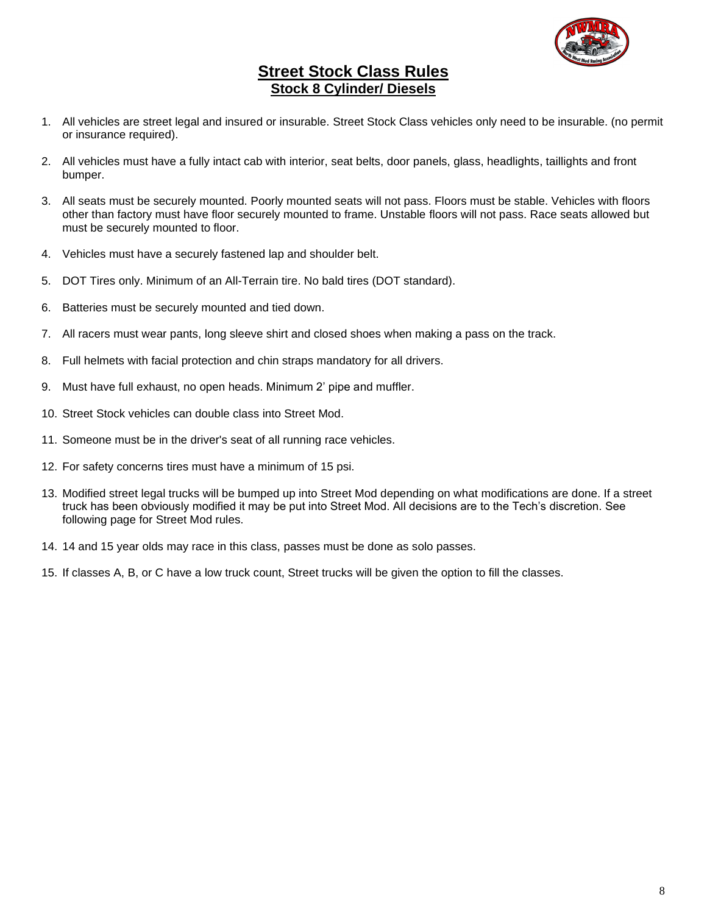

#### **Street Stock Class Rules Stock 8 Cylinder/ Diesels**

- 1. All vehicles are street legal and insured or insurable. Street Stock Class vehicles only need to be insurable. (no permit or insurance required).
- 2. All vehicles must have a fully intact cab with interior, seat belts, door panels, glass, headlights, taillights and front bumper.
- 3. All seats must be securely mounted. Poorly mounted seats will not pass. Floors must be stable. Vehicles with floors other than factory must have floor securely mounted to frame. Unstable floors will not pass. Race seats allowed but must be securely mounted to floor.
- 4. Vehicles must have a securely fastened lap and shoulder belt.
- 5. DOT Tires only. Minimum of an All-Terrain tire. No bald tires (DOT standard).
- 6. Batteries must be securely mounted and tied down.
- 7. All racers must wear pants, long sleeve shirt and closed shoes when making a pass on the track.
- 8. Full helmets with facial protection and chin straps mandatory for all drivers.
- 9. Must have full exhaust, no open heads. Minimum 2' pipe and muffler.
- 10. Street Stock vehicles can double class into Street Mod.
- 11. Someone must be in the driver's seat of all running race vehicles.
- 12. For safety concerns tires must have a minimum of 15 psi.
- 13. Modified street legal trucks will be bumped up into Street Mod depending on what modifications are done. If a street truck has been obviously modified it may be put into Street Mod. All decisions are to the Tech's discretion. See following page for Street Mod rules.
- 14. 14 and 15 year olds may race in this class, passes must be done as solo passes.
- 15. If classes A, B, or C have a low truck count, Street trucks will be given the option to fill the classes.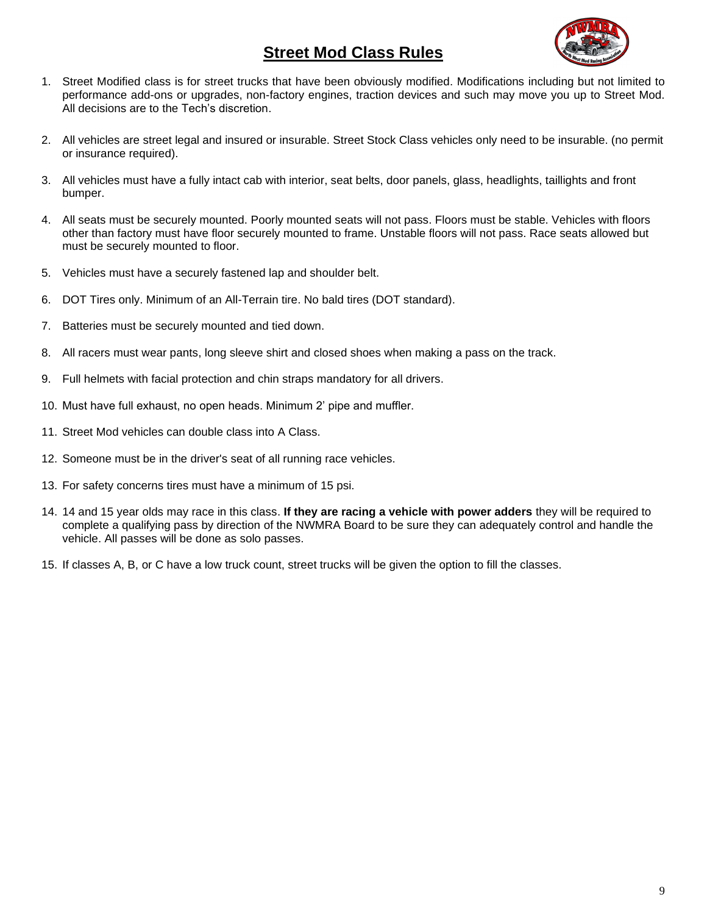## **Street Mod Class Rules**



- 1. Street Modified class is for street trucks that have been obviously modified. Modifications including but not limited to performance add-ons or upgrades, non-factory engines, traction devices and such may move you up to Street Mod. All decisions are to the Tech's discretion.
- 2. All vehicles are street legal and insured or insurable. Street Stock Class vehicles only need to be insurable. (no permit or insurance required).
- 3. All vehicles must have a fully intact cab with interior, seat belts, door panels, glass, headlights, taillights and front bumper.
- 4. All seats must be securely mounted. Poorly mounted seats will not pass. Floors must be stable. Vehicles with floors other than factory must have floor securely mounted to frame. Unstable floors will not pass. Race seats allowed but must be securely mounted to floor.
- 5. Vehicles must have a securely fastened lap and shoulder belt.
- 6. DOT Tires only. Minimum of an All-Terrain tire. No bald tires (DOT standard).
- 7. Batteries must be securely mounted and tied down.
- 8. All racers must wear pants, long sleeve shirt and closed shoes when making a pass on the track.
- 9. Full helmets with facial protection and chin straps mandatory for all drivers.
- 10. Must have full exhaust, no open heads. Minimum 2' pipe and muffler.
- 11. Street Mod vehicles can double class into A Class.
- 12. Someone must be in the driver's seat of all running race vehicles.
- 13. For safety concerns tires must have a minimum of 15 psi.
- 14. 14 and 15 year olds may race in this class. **If they are racing a vehicle with power adders** they will be required to complete a qualifying pass by direction of the NWMRA Board to be sure they can adequately control and handle the vehicle. All passes will be done as solo passes.
- 15. If classes A, B, or C have a low truck count, street trucks will be given the option to fill the classes.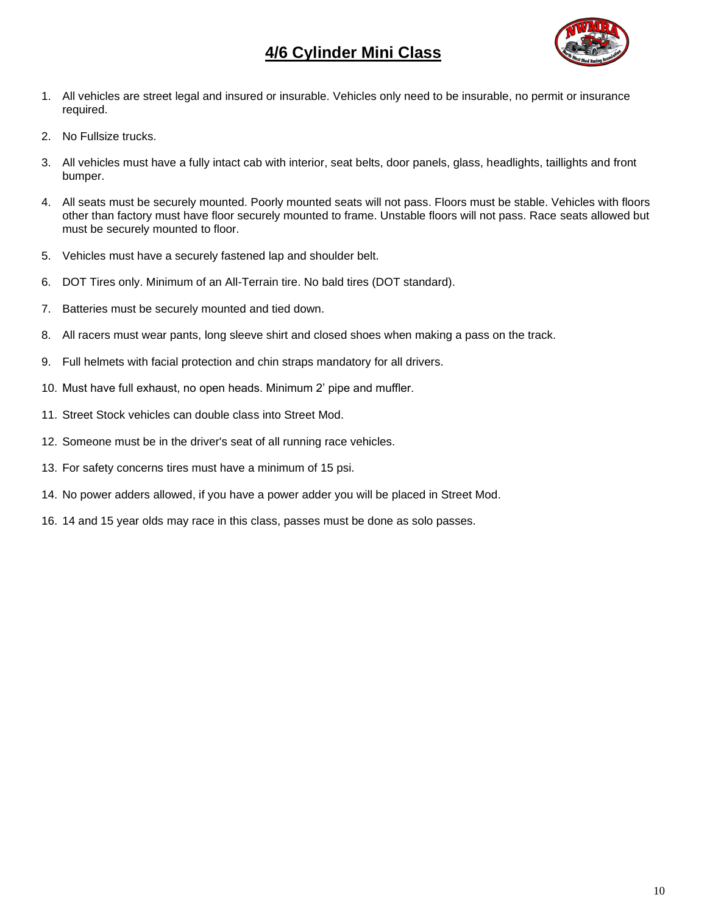## **4/6 Cylinder Mini Class**



- 1. All vehicles are street legal and insured or insurable. Vehicles only need to be insurable, no permit or insurance required.
- 2. No Fullsize trucks.
- 3. All vehicles must have a fully intact cab with interior, seat belts, door panels, glass, headlights, taillights and front bumper.
- 4. All seats must be securely mounted. Poorly mounted seats will not pass. Floors must be stable. Vehicles with floors other than factory must have floor securely mounted to frame. Unstable floors will not pass. Race seats allowed but must be securely mounted to floor.
- 5. Vehicles must have a securely fastened lap and shoulder belt.
- 6. DOT Tires only. Minimum of an All-Terrain tire. No bald tires (DOT standard).
- 7. Batteries must be securely mounted and tied down.
- 8. All racers must wear pants, long sleeve shirt and closed shoes when making a pass on the track.
- 9. Full helmets with facial protection and chin straps mandatory for all drivers.
- 10. Must have full exhaust, no open heads. Minimum 2' pipe and muffler.
- 11. Street Stock vehicles can double class into Street Mod.
- 12. Someone must be in the driver's seat of all running race vehicles.
- 13. For safety concerns tires must have a minimum of 15 psi.
- 14. No power adders allowed, if you have a power adder you will be placed in Street Mod.
- 16. 14 and 15 year olds may race in this class, passes must be done as solo passes.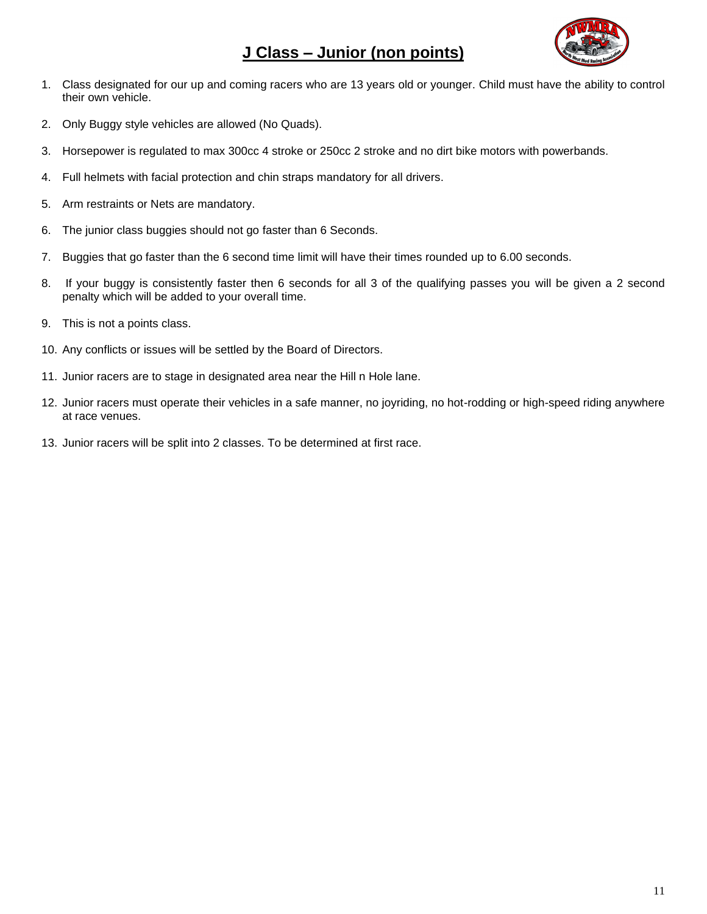## **J Class – Junior (non points)**



- 1. Class designated for our up and coming racers who are 13 years old or younger. Child must have the ability to control their own vehicle.
- 2. Only Buggy style vehicles are allowed (No Quads).
- 3. Horsepower is regulated to max 300cc 4 stroke or 250cc 2 stroke and no dirt bike motors with powerbands.
- 4. Full helmets with facial protection and chin straps mandatory for all drivers.
- 5. Arm restraints or Nets are mandatory.
- 6. The junior class buggies should not go faster than 6 Seconds.
- 7. Buggies that go faster than the 6 second time limit will have their times rounded up to 6.00 seconds.
- 8. If your buggy is consistently faster then 6 seconds for all 3 of the qualifying passes you will be given a 2 second penalty which will be added to your overall time.
- 9. This is not a points class.
- 10. Any conflicts or issues will be settled by the Board of Directors.
- 11. Junior racers are to stage in designated area near the Hill n Hole lane.
- 12. Junior racers must operate their vehicles in a safe manner, no joyriding, no hot-rodding or high-speed riding anywhere at race venues.
- 13. Junior racers will be split into 2 classes. To be determined at first race.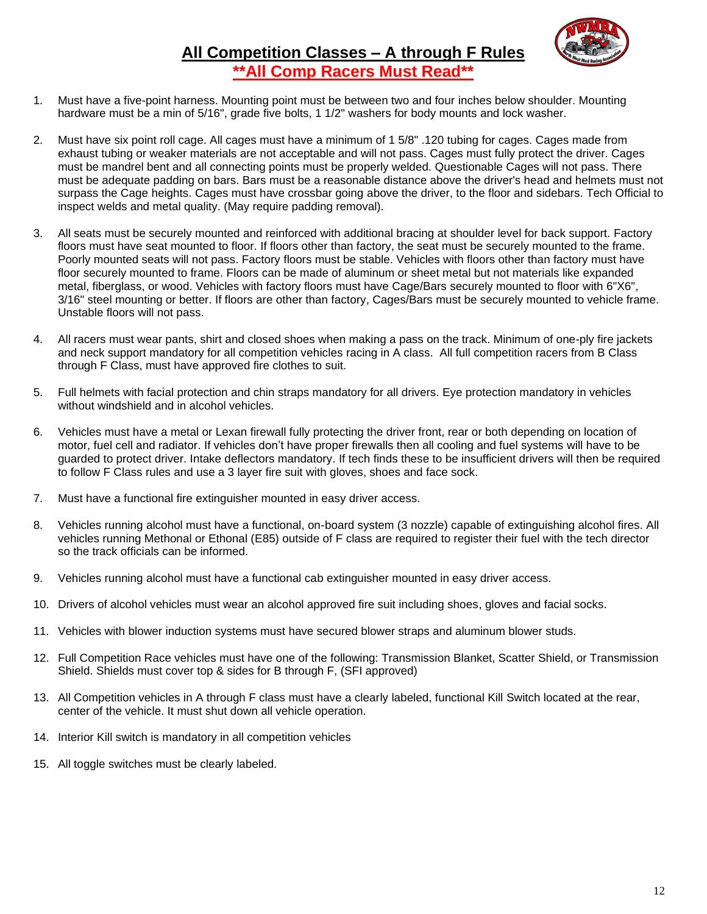

## **All Competition Classes – A through F Rules \*\*All Comp Racers Must Read\*\***

- 1. Must have a five-point harness. Mounting point must be between two and four inches below shoulder. Mounting hardware must be a min of 5/16", grade five bolts, 1 1/2" washers for body mounts and lock washer.
- 2. Must have six point roll cage. All cages must have a minimum of 1 5/8" .120 tubing for cages. Cages made from exhaust tubing or weaker materials are not acceptable and will not pass. Cages must fully protect the driver. Cages must be mandrel bent and all connecting points must be properly welded. Questionable Cages will not pass. There must be adequate padding on bars. Bars must be a reasonable distance above the driver's head and helmets must not surpass the Cage heights. Cages must have crossbar going above the driver, to the floor and sidebars. Tech Official to inspect welds and metal quality. (May require padding removal).
- 3. All seats must be securely mounted and reinforced with additional bracing at shoulder level for back support. Factory floors must have seat mounted to floor. If floors other than factory, the seat must be securely mounted to the frame. Poorly mounted seats will not pass. Factory floors must be stable. Vehicles with floors other than factory must have floor securely mounted to frame. Floors can be made of aluminum or sheet metal but not materials like expanded metal, fiberglass, or wood. Vehicles with factory floors must have Cage/Bars securely mounted to floor with 6"X6", 3/16" steel mounting or better. If floors are other than factory, Cages/Bars must be securely mounted to vehicle frame. Unstable floors will not pass.
- 4. All racers must wear pants, shirt and closed shoes when making a pass on the track. Minimum of one-ply fire jackets and neck support mandatory for all competition vehicles racing in A class. All full competition racers from B Class through F Class, must have approved fire clothes to suit.
- 5. Full helmets with facial protection and chin straps mandatory for all drivers. Eye protection mandatory in vehicles without windshield and in alcohol vehicles.
- 6. Vehicles must have a metal or Lexan firewall fully protecting the driver front, rear or both depending on location of motor, fuel cell and radiator. If vehicles don't have proper firewalls then all cooling and fuel systems will have to be guarded to protect driver. Intake deflectors mandatory. If tech finds these to be insufficient drivers will then be required to follow F Class rules and use a 3 layer fire suit with gloves, shoes and face sock.
- 7. Must have a functional fire extinguisher mounted in easy driver access.
- 8. Vehicles running alcohol must have a functional, on-board system (3 nozzle) capable of extinguishing alcohol fires. All vehicles running Methonal or Ethonal (E85) outside of F class are required to register their fuel with the tech director so the track officials can be informed.
- 9. Vehicles running alcohol must have a functional cab extinguisher mounted in easy driver access.
- 10. Drivers of alcohol vehicles must wear an alcohol approved fire suit including shoes, gloves and facial socks.
- 11. Vehicles with blower induction systems must have secured blower straps and aluminum blower studs.
- 12. Full Competition Race vehicles must have one of the following: Transmission Blanket, Scatter Shield, or Transmission Shield. Shields must cover top & sides for B through F, (SFI approved)
- 13. All Competition vehicles in A through F class must have a clearly labeled, functional Kill Switch located at the rear, center of the vehicle. It must shut down all vehicle operation.
- 14. Interior Kill switch is mandatory in all competition vehicles
- 15. All toggle switches must be clearly labeled.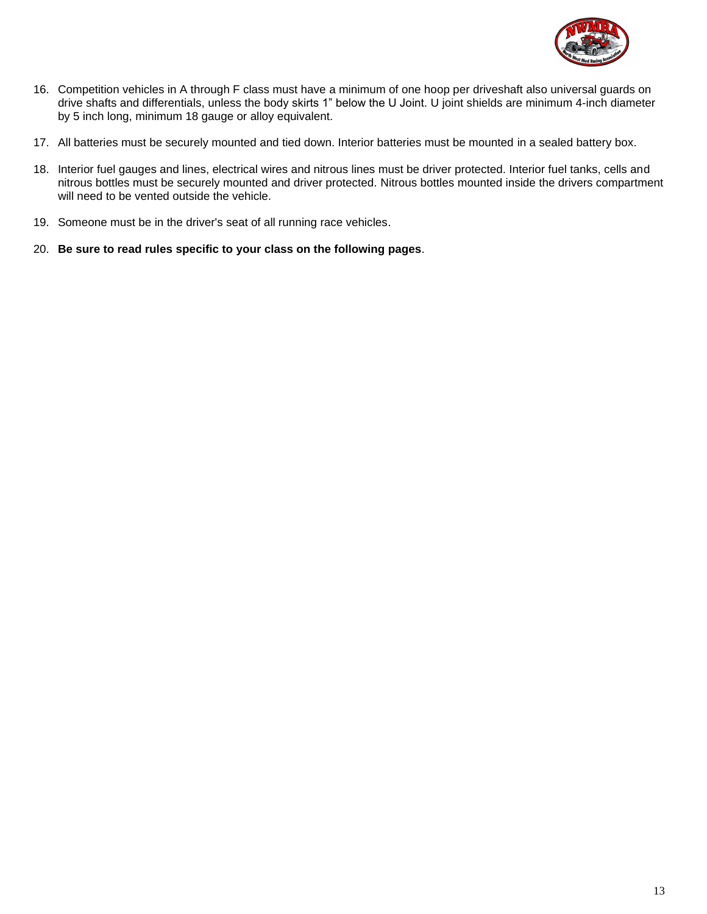

- 16. Competition vehicles in A through F class must have a minimum of one hoop per driveshaft also universal guards on drive shafts and differentials, unless the body skirts 1" below the U Joint. U joint shields are minimum 4-inch diameter by 5 inch long, minimum 18 gauge or alloy equivalent.
- 17. All batteries must be securely mounted and tied down. Interior batteries must be mounted in a sealed battery box.
- 18. Interior fuel gauges and lines, electrical wires and nitrous lines must be driver protected. Interior fuel tanks, cells and nitrous bottles must be securely mounted and driver protected. Nitrous bottles mounted inside the drivers compartment will need to be vented outside the vehicle.
- 19. Someone must be in the driver's seat of all running race vehicles.
- 20. **Be sure to read rules specific to your class on the following pages**.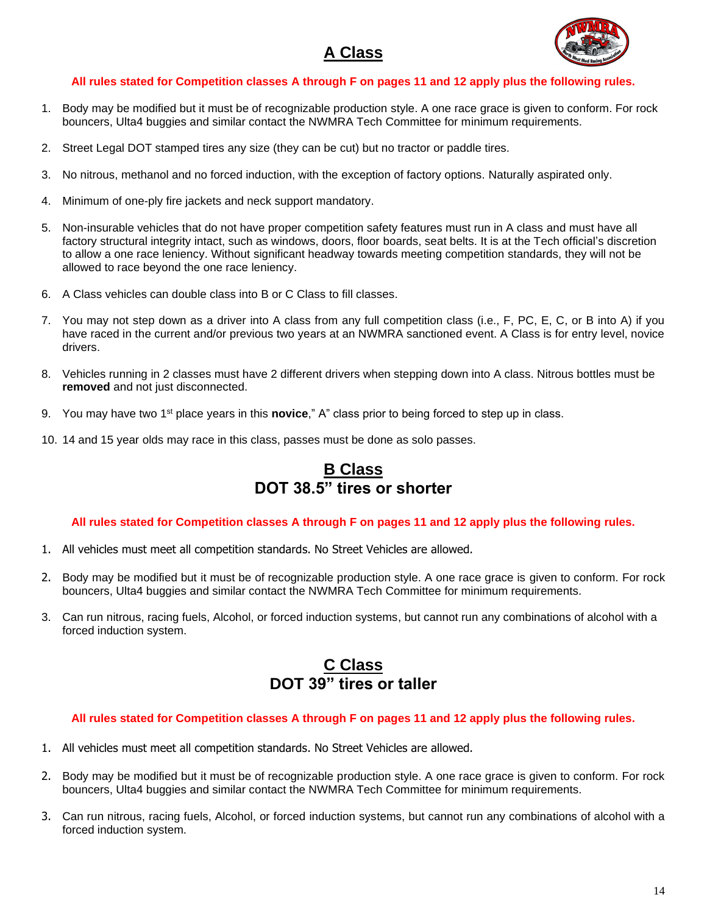## **A Class**



#### **All rules stated for Competition classes A through F on pages 11 and 12 apply plus the following rules.**

- 1. Body may be modified but it must be of recognizable production style. A one race grace is given to conform. For rock bouncers, Ulta4 buggies and similar contact the NWMRA Tech Committee for minimum requirements.
- 2. Street Legal DOT stamped tires any size (they can be cut) but no tractor or paddle tires.
- 3. No nitrous, methanol and no forced induction, with the exception of factory options. Naturally aspirated only.
- 4. Minimum of one-ply fire jackets and neck support mandatory.
- 5. Non-insurable vehicles that do not have proper competition safety features must run in A class and must have all factory structural integrity intact, such as windows, doors, floor boards, seat belts. It is at the Tech official's discretion to allow a one race leniency. Without significant headway towards meeting competition standards, they will not be allowed to race beyond the one race leniency.
- 6. A Class vehicles can double class into B or C Class to fill classes.
- 7. You may not step down as a driver into A class from any full competition class (i.e., F, PC, E, C, or B into A) if you have raced in the current and/or previous two years at an NWMRA sanctioned event. A Class is for entry level, novice drivers.
- 8. Vehicles running in 2 classes must have 2 different drivers when stepping down into A class. Nitrous bottles must be **removed** and not just disconnected.
- 9. You may have two 1st place years in this **novice**," A" class prior to being forced to step up in class.
- 10. 14 and 15 year olds may race in this class, passes must be done as solo passes.

## **B Class DOT 38.5" tires or shorter**

#### **All rules stated for Competition classes A through F on pages 11 and 12 apply plus the following rules.**

- 1. All vehicles must meet all competition standards. No Street Vehicles are allowed.
- 2. Body may be modified but it must be of recognizable production style. A one race grace is given to conform. For rock bouncers, Ulta4 buggies and similar contact the NWMRA Tech Committee for minimum requirements.
- 3. Can run nitrous, racing fuels, Alcohol, or forced induction systems, but cannot run any combinations of alcohol with a forced induction system.

## **C Class DOT 39" tires or taller**

#### **All rules stated for Competition classes A through F on pages 11 and 12 apply plus the following rules.**

- 1. All vehicles must meet all competition standards. No Street Vehicles are allowed.
- 2. Body may be modified but it must be of recognizable production style. A one race grace is given to conform. For rock bouncers, Ulta4 buggies and similar contact the NWMRA Tech Committee for minimum requirements.
- 3. Can run nitrous, racing fuels, Alcohol, or forced induction systems, but cannot run any combinations of alcohol with a forced induction system.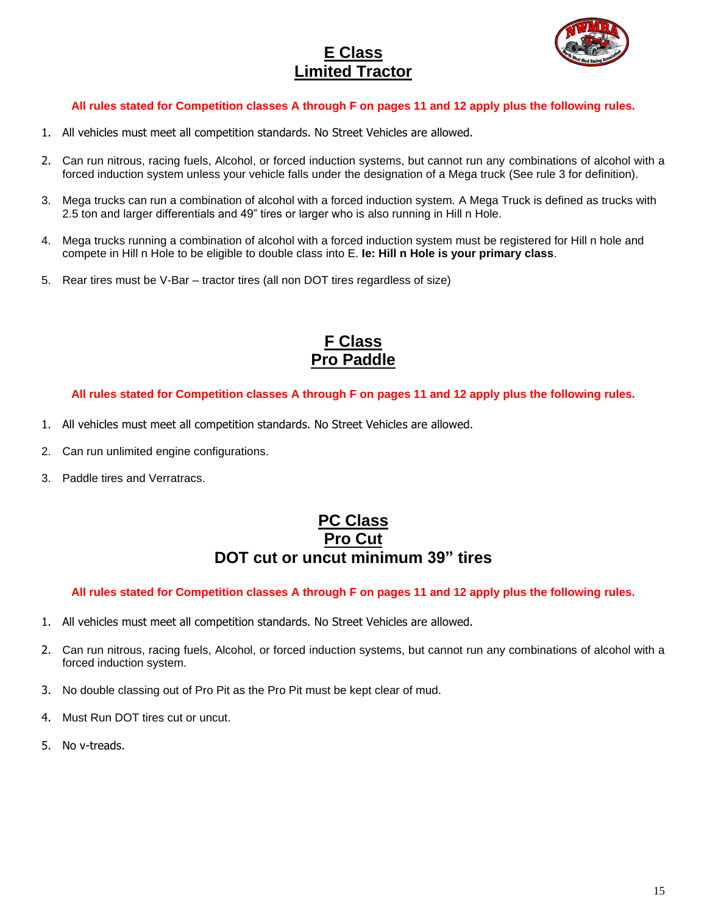## **E Class Limited Tractor**



#### **All rules stated for Competition classes A through F on pages 11 and 12 apply plus the following rules.**

- 1. All vehicles must meet all competition standards. No Street Vehicles are allowed.
- 2. Can run nitrous, racing fuels, Alcohol, or forced induction systems, but cannot run any combinations of alcohol with a forced induction system unless your vehicle falls under the designation of a Mega truck (See rule 3 for definition).
- 3. Mega trucks can run a combination of alcohol with a forced induction system. A Mega Truck is defined as trucks with 2.5 ton and larger differentials and 49" tires or larger who is also running in Hill n Hole.
- 4. Mega trucks running a combination of alcohol with a forced induction system must be registered for Hill n hole and compete in Hill n Hole to be eligible to double class into E. **Ie: Hill n Hole is your primary class**.
- 5. Rear tires must be V-Bar tractor tires (all non DOT tires regardless of size)

## **F Class Pro Paddle**

#### **All rules stated for Competition classes A through F on pages 11 and 12 apply plus the following rules.**

- 1. All vehicles must meet all competition standards. No Street Vehicles are allowed.
- 2. Can run unlimited engine configurations.
- 3. Paddle tires and Verratracs.

### **PC Class Pro Cut DOT cut or uncut minimum 39" tires**

#### **All rules stated for Competition classes A through F on pages 11 and 12 apply plus the following rules.**

- 1. All vehicles must meet all competition standards. No Street Vehicles are allowed.
- 2. Can run nitrous, racing fuels, Alcohol, or forced induction systems, but cannot run any combinations of alcohol with a forced induction system.
- 3. No double classing out of Pro Pit as the Pro Pit must be kept clear of mud.
- 4. Must Run DOT tires cut or uncut.
- 5. No v-treads.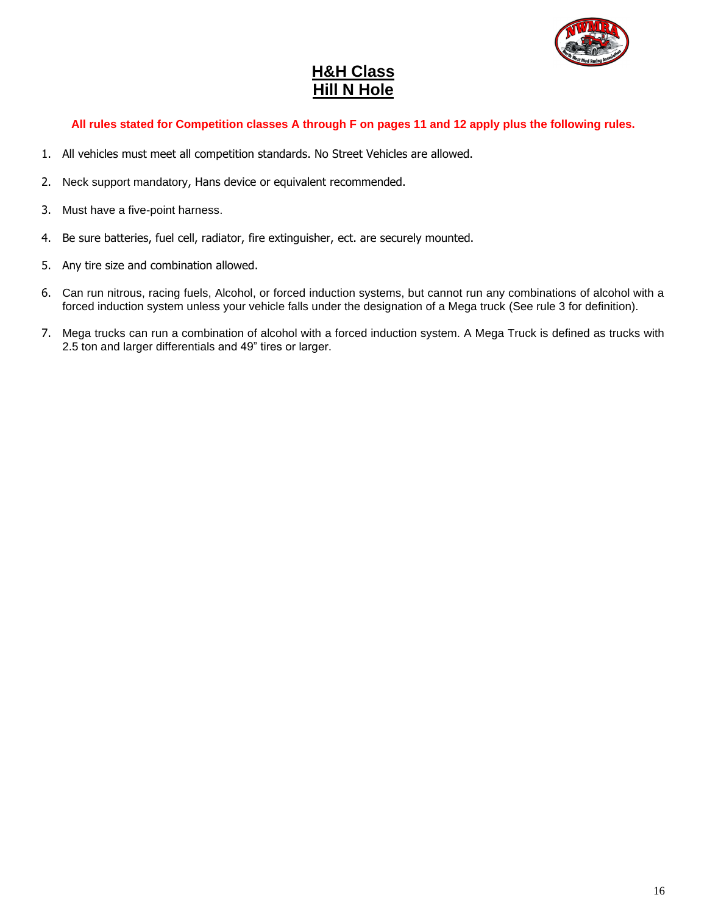

## **H&H Class Hill N Hole**

#### **All rules stated for Competition classes A through F on pages 11 and 12 apply plus the following rules.**

- 1. All vehicles must meet all competition standards. No Street Vehicles are allowed.
- 2. Neck support mandatory, Hans device or equivalent recommended.
- 3. Must have a five-point harness.
- 4. Be sure batteries, fuel cell, radiator, fire extinguisher, ect. are securely mounted.
- 5. Any tire size and combination allowed.
- 6. Can run nitrous, racing fuels, Alcohol, or forced induction systems, but cannot run any combinations of alcohol with a forced induction system unless your vehicle falls under the designation of a Mega truck (See rule 3 for definition).
- 7. Mega trucks can run a combination of alcohol with a forced induction system. A Mega Truck is defined as trucks with 2.5 ton and larger differentials and 49" tires or larger.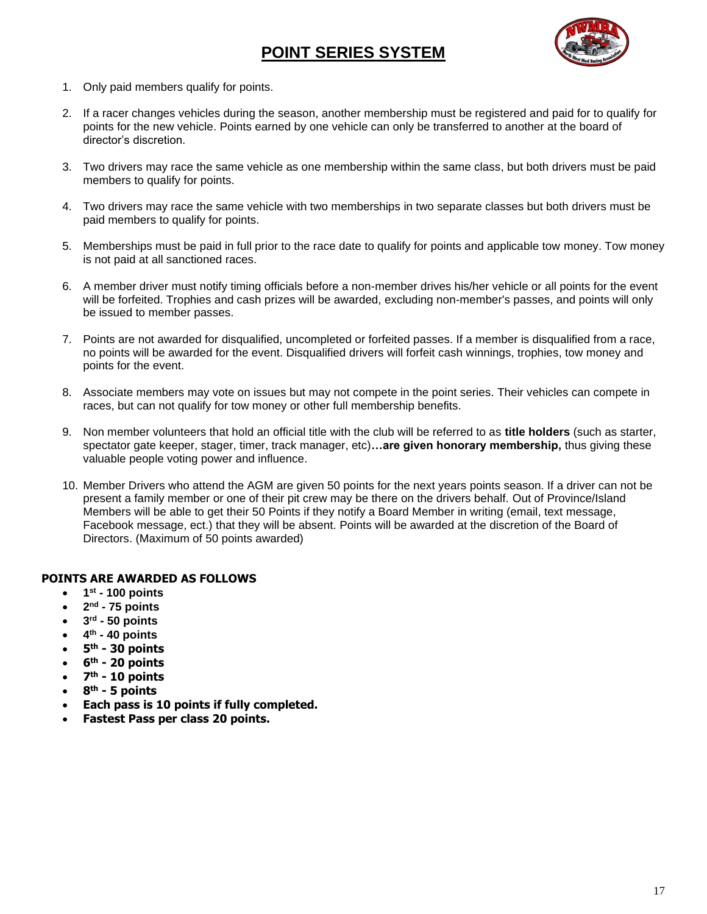## **POINT SERIES SYSTEM**



- 1. Only paid members qualify for points.
- 2. If a racer changes vehicles during the season, another membership must be registered and paid for to qualify for points for the new vehicle. Points earned by one vehicle can only be transferred to another at the board of director's discretion.
- 3. Two drivers may race the same vehicle as one membership within the same class, but both drivers must be paid members to qualify for points.
- 4. Two drivers may race the same vehicle with two memberships in two separate classes but both drivers must be paid members to qualify for points.
- 5. Memberships must be paid in full prior to the race date to qualify for points and applicable tow money. Tow money is not paid at all sanctioned races.
- 6. A member driver must notify timing officials before a non-member drives his/her vehicle or all points for the event will be forfeited. Trophies and cash prizes will be awarded, excluding non-member's passes, and points will only be issued to member passes.
- 7. Points are not awarded for disqualified, uncompleted or forfeited passes. If a member is disqualified from a race, no points will be awarded for the event. Disqualified drivers will forfeit cash winnings, trophies, tow money and points for the event.
- 8. Associate members may vote on issues but may not compete in the point series. Their vehicles can compete in races, but can not qualify for tow money or other full membership benefits.
- 9. Non member volunteers that hold an official title with the club will be referred to as **title holders** (such as starter, spectator gate keeper, stager, timer, track manager, etc)**…are given honorary membership,** thus giving these valuable people voting power and influence.
- 10. Member Drivers who attend the AGM are given 50 points for the next years points season. If a driver can not be present a family member or one of their pit crew may be there on the drivers behalf. Out of Province/Island Members will be able to get their 50 Points if they notify a Board Member in writing (email, text message, Facebook message, ect.) that they will be absent. Points will be awarded at the discretion of the Board of Directors. (Maximum of 50 points awarded)

#### **POINTS ARE AWARDED AS FOLLOWS**

- **1 st - 100 points**
- **2 nd - 75 points**
- **3 rd - 50 points**
- **4 th - 40 points**
- **5 th - 30 points**
- **6 th - 20 points**
- **7 th - 10 points**
- **8 th - 5 points**
- **Each pass is 10 points if fully completed.**
- **Fastest Pass per class 20 points.**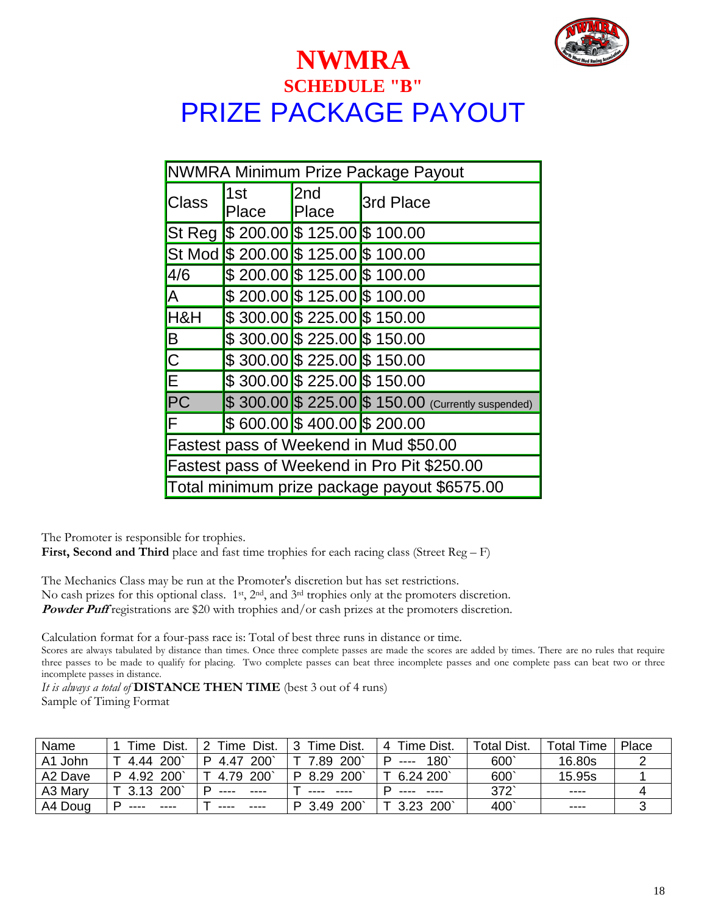

## **NWMRA SCHEDULE "B"** PRIZE PACKAGE PAYOUT

| NWMRA Minimum Prize Package Payout            |                                       |              |                                                     |  |  |
|-----------------------------------------------|---------------------------------------|--------------|-----------------------------------------------------|--|--|
| Class                                         | 1st<br>Place                          | 2nd<br>Place | 3rd Place                                           |  |  |
|                                               | St Reg \$ 200.00 \$ 125.00 \$ 100.00  |              |                                                     |  |  |
|                                               | St Mod \$ 200.00 \$ 125.00 \$ 100.00  |              |                                                     |  |  |
| 4/6                                           | \$200.00 \$125.00 \$100.00            |              |                                                     |  |  |
| <b>JA</b>                                     | $$200.00$ \$125.00 \$100.00           |              |                                                     |  |  |
| H&H                                           | \$300.00 \$225.00 \$150.00            |              |                                                     |  |  |
| $\boxed{\mathsf{B}}$                          | $$300.00$ \$ 225.00 \$ 150.00         |              |                                                     |  |  |
| $\frac{1}{\sqrt{2}}$                          | $$300.00 \times 225.00 \times 150.00$ |              |                                                     |  |  |
|                                               | $$300.00$ \$ 225.00 \$ 150.00         |              |                                                     |  |  |
| $\overline{PC}$                               |                                       |              | $$300.00$ \$ 225.00 \$ 150.00 (Currently suspended) |  |  |
| F                                             | \$ 600.00 \$ 400.00 \$ 200.00         |              |                                                     |  |  |
| <b>Fastest pass of Weekend in Mud \$50.00</b> |                                       |              |                                                     |  |  |
| Fastest pass of Weekend in Pro Pit \$250.00   |                                       |              |                                                     |  |  |
| Total minimum prize package payout \$6575.00  |                                       |              |                                                     |  |  |

The Promoter is responsible for trophies.

First, Second and Third place and fast time trophies for each racing class (Street Reg – F)

The Mechanics Class may be run at the Promoter's discretion but has set restrictions. No cash prizes for this optional class. 1<sup>st</sup>, 2<sup>nd</sup>, and 3<sup>rd</sup> trophies only at the promoters discretion. **Powder Puff** registrations are \$20 with trophies and/or cash prizes at the promoters discretion.

Calculation format for a four-pass race is: Total of best three runs in distance or time.

Scores are always tabulated by distance than times. Once three complete passes are made the scores are added by times. There are no rules that require three passes to be made to qualify for placing. Two complete passes can beat three incomplete passes and one complete pass can beat two or three incomplete passes in distance.

*It is always a total of* **DISTANCE THEN TIME** (best 3 out of 4 runs)

Sample of Timing Format

| Name    | Dist.<br>Time      | Dist.<br>2<br>Time           | Time Dist.           | Time Dist.<br>4 | Total Dist. | Total Time | Place |
|---------|--------------------|------------------------------|----------------------|-----------------|-------------|------------|-------|
| A1 John | <b>200</b><br>4.44 | $200^{\circ}$<br>P.<br>-4.47 | $200^{\circ}$<br>.89 | 180<br>$---$    | 600         | 16.80s     |       |
| A2 Dave | 4.92 200           | 4.79 200                     | -200`<br>8.29<br>D.  | 6.24 200        | 600         | 15.95s     |       |
| A3 Mary | 3.13 200           | ----                         | ----                 |                 | 372         | ----       |       |
| A4 Doug | ----               |                              | 200<br>3.49          | 200<br>3.23     | 400         | ----       |       |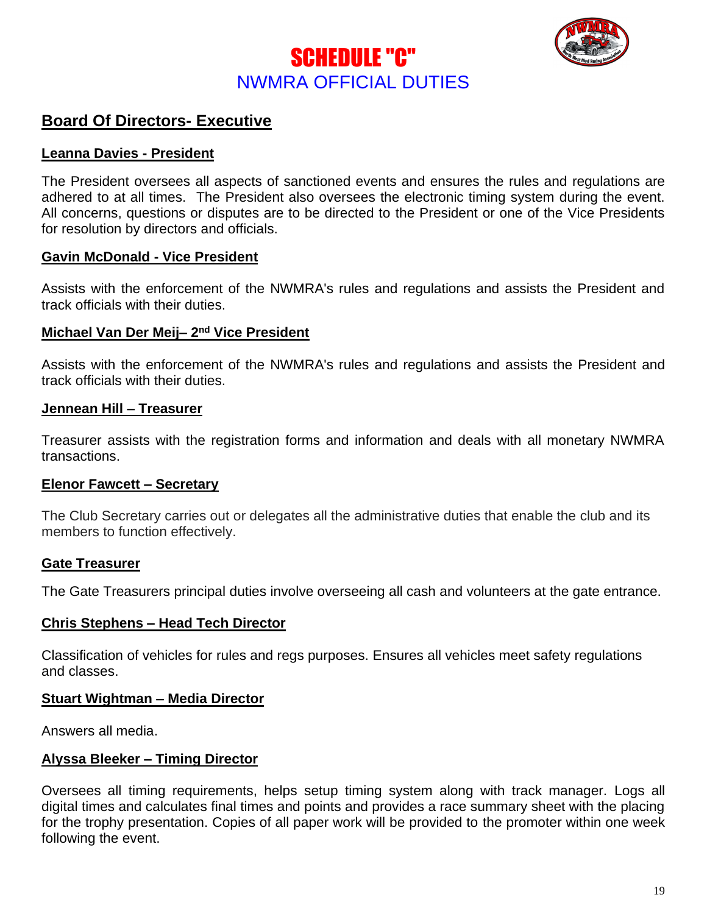



## **Board Of Directors- Executive**

#### **Leanna Davies - President**

The President oversees all aspects of sanctioned events and ensures the rules and regulations are adhered to at all times. The President also oversees the electronic timing system during the event. All concerns, questions or disputes are to be directed to the President or one of the Vice Presidents for resolution by directors and officials.

#### **Gavin McDonald - Vice President**

Assists with the enforcement of the NWMRA's rules and regulations and assists the President and track officials with their duties.

#### **Michael Van Der Meij– 2 nd Vice President**

Assists with the enforcement of the NWMRA's rules and regulations and assists the President and track officials with their duties.

#### **Jennean Hill – Treasurer**

Treasurer assists with the registration forms and information and deals with all monetary NWMRA transactions.

#### **Elenor Fawcett – Secretary**

The Club Secretary carries out or delegates all the administrative duties that enable the club and its members to function effectively.

#### **Gate Treasurer**

The Gate Treasurers principal duties involve overseeing all cash and volunteers at the gate entrance.

#### **Chris Stephens – Head Tech Director**

Classification of vehicles for rules and regs purposes. Ensures all vehicles meet safety regulations and classes.

#### **Stuart Wightman – Media Director**

Answers all media.

#### **Alyssa Bleeker – Timing Director**

Oversees all timing requirements, helps setup timing system along with track manager. Logs all digital times and calculates final times and points and provides a race summary sheet with the placing for the trophy presentation. Copies of all paper work will be provided to the promoter within one week following the event.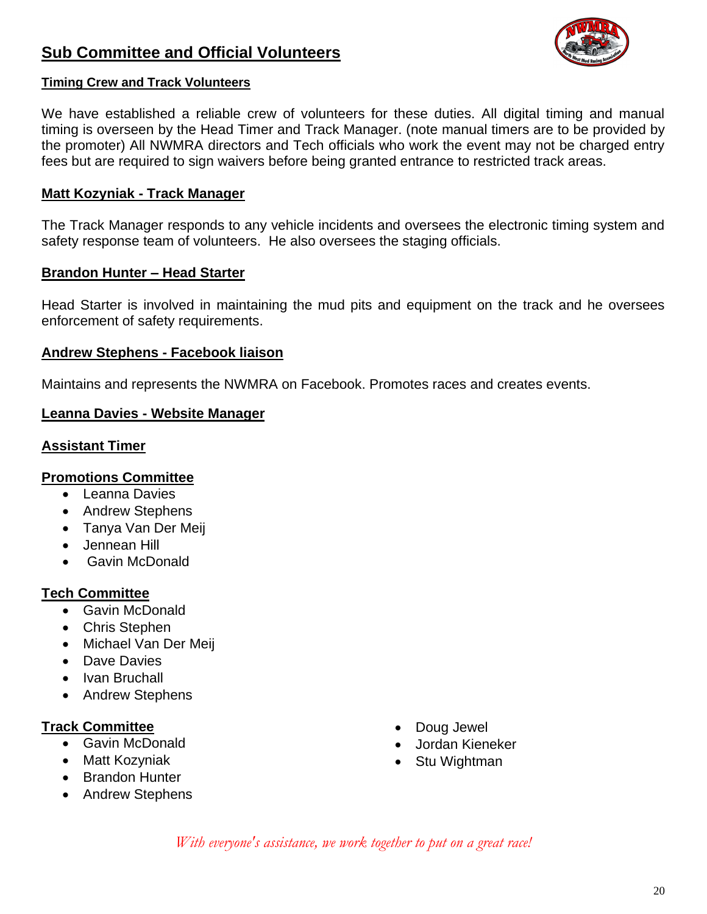## **Sub Committee and Official Volunteers**



#### **Timing Crew and Track Volunteers**

We have established a reliable crew of volunteers for these duties. All digital timing and manual timing is overseen by the Head Timer and Track Manager. (note manual timers are to be provided by the promoter) All NWMRA directors and Tech officials who work the event may not be charged entry fees but are required to sign waivers before being granted entrance to restricted track areas.

#### **Matt Kozyniak - Track Manager**

The Track Manager responds to any vehicle incidents and oversees the electronic timing system and safety response team of volunteers. He also oversees the staging officials.

#### **Brandon Hunter – Head Starter**

Head Starter is involved in maintaining the mud pits and equipment on the track and he oversees enforcement of safety requirements.

#### **Andrew Stephens - Facebook liaison**

Maintains and represents the NWMRA on Facebook. Promotes races and creates events.

#### **Leanna Davies - Website Manager**

#### **Assistant Timer**

#### **Promotions Committee**

- Leanna Davies
- Andrew Stephens
- Tanya Van Der Meij
- Jennean Hill
- Gavin McDonald

#### **Tech Committee**

- Gavin McDonald
- Chris Stephen
- Michael Van Der Meij
- Dave Davies
- Ivan Bruchall
- Andrew Stephens

#### **Track Committee**

- Gavin McDonald
- Matt Kozyniak
- Brandon Hunter
- Andrew Stephens
- Doug Jewel
- Jordan Kieneker
- Stu Wightman

*With everyone's assistance, we work together to put on a great race!*